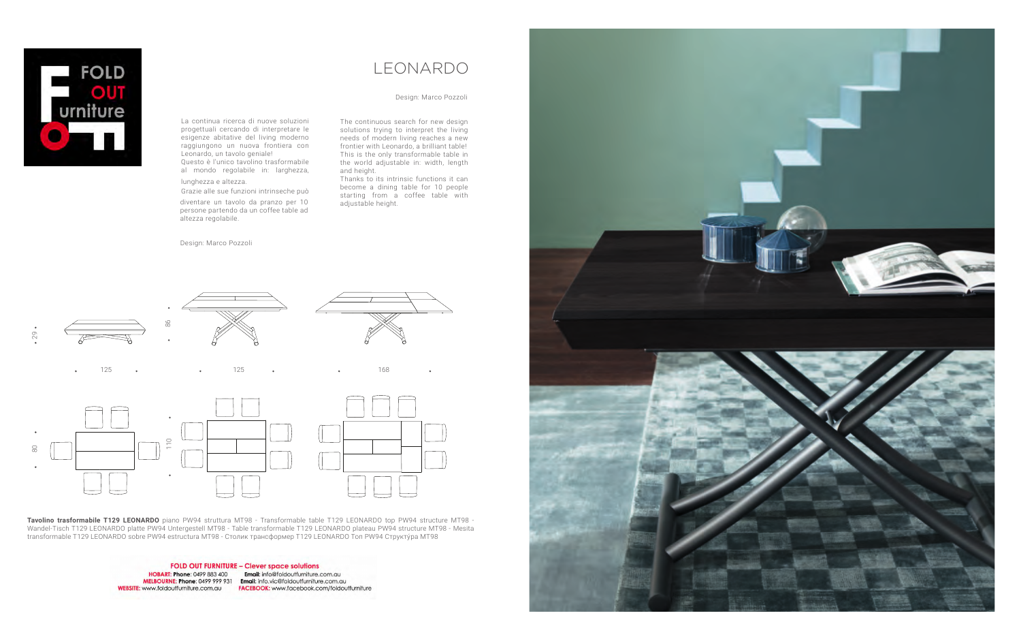## LEONARDO

La continua ricerca di nuove soluzioni progettuali cercando di interpretare le esigenze abitative del living moderno raggiungono un nuova frontiera con Leonardo, un tavolo geniale! Questo è l'unico tavolino trasformabile

al mondo regolabile in: larghezza,

lunghezza e altezza.

diventare un tavolo da pranzo per 10 persone partendo da un coffee table ad altezza regolabile.

Design: Marco Pozzoli<br>.

lunghezza e altezza.<br>Grazie alle sue funzioni intrinseche può decome a dining table fo<br>starting from a coffee Thanks to its intrinsic functions it can starting from a coffee table with adjustable height.

> **Tavolino trasformabile T129 LEONARDO** piano PW94 struttura MT98 - Transformable table T129 LEONARDO top PW94 structure MT98 - Wandel-Tisch T129 LEONARDO platte PW94 Untergestell MT98 - Table transformable T129 LEONARDO plateau PW94 structure MT98 - Mesita transformable T129 LEONARDO sobre PW94 estructura MT98 - Столик трансформер T129 LEONARDO Топ PW94 Структу́ра MT98

> > **FOLD OUT FURNITURE - Clever space solutions** HOBART: Phone: 0499 883 400 MELBOURNE: Phone: 0499 999 931 Email: info.vic@foldoutfurniture.com.au **WEBSITE:** www.foldoutfurniture.com.au **FACEBOOK:** www.facebook.com/foldoutfurniture

Email: info@foldoutfurniture.com.au

The continuous search for new design solutions trying to interpret the living needs of modern living reaches a new frontier with Leonardo, a brilliant table! This is the only transformable table in the world adjustable in: width, length and height.

## Design: Marco Pozzoli